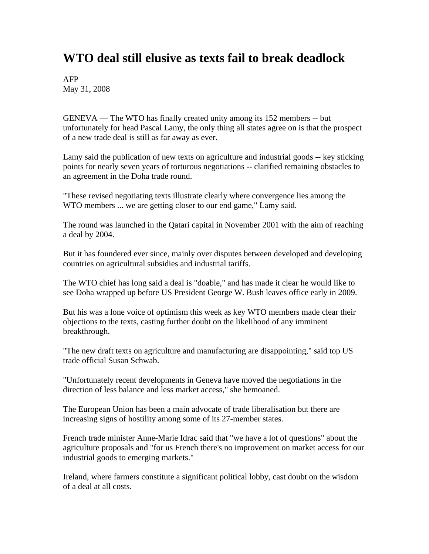## **WTO deal still elusive as texts fail to break deadlock**

AFP May 31, 2008

GENEVA — The WTO has finally created unity among its 152 members -- but unfortunately for head Pascal Lamy, the only thing all states agree on is that the prospect of a new trade deal is still as far away as ever.

Lamy said the publication of new texts on agriculture and industrial goods -- key sticking points for nearly seven years of torturous negotiations -- clarified remaining obstacles to an agreement in the Doha trade round.

"These revised negotiating texts illustrate clearly where convergence lies among the WTO members ... we are getting closer to our end game," Lamy said.

The round was launched in the Qatari capital in November 2001 with the aim of reaching a deal by 2004.

But it has foundered ever since, mainly over disputes between developed and developing countries on agricultural subsidies and industrial tariffs.

The WTO chief has long said a deal is "doable," and has made it clear he would like to see Doha wrapped up before US President George W. Bush leaves office early in 2009.

But his was a lone voice of optimism this week as key WTO members made clear their objections to the texts, casting further doubt on the likelihood of any imminent breakthrough.

"The new draft texts on agriculture and manufacturing are disappointing," said top US trade official Susan Schwab.

"Unfortunately recent developments in Geneva have moved the negotiations in the direction of less balance and less market access," she bemoaned.

The European Union has been a main advocate of trade liberalisation but there are increasing signs of hostility among some of its 27-member states.

French trade minister Anne-Marie Idrac said that "we have a lot of questions" about the agriculture proposals and "for us French there's no improvement on market access for our industrial goods to emerging markets."

Ireland, where farmers constitute a significant political lobby, cast doubt on the wisdom of a deal at all costs.